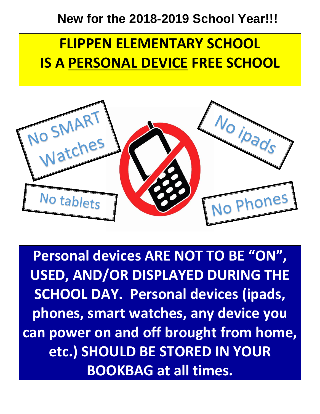#### **New for the 2018-2019 School Year!!!**

# **FLIPPEN ELEMENTARY SCHOOL IS A PERSONAL DEVICE FREE SCHOOL**



**Personal devices ARE NOT TO BE "ON", USED, AND/OR DISPLAYED DURING THE SCHOOL DAY. Personal devices (ipads, phones, smart watches, any device you can power on and off brought from home, etc.) SHOULD BE STORED IN YOUR BOOKBAG at all times.**